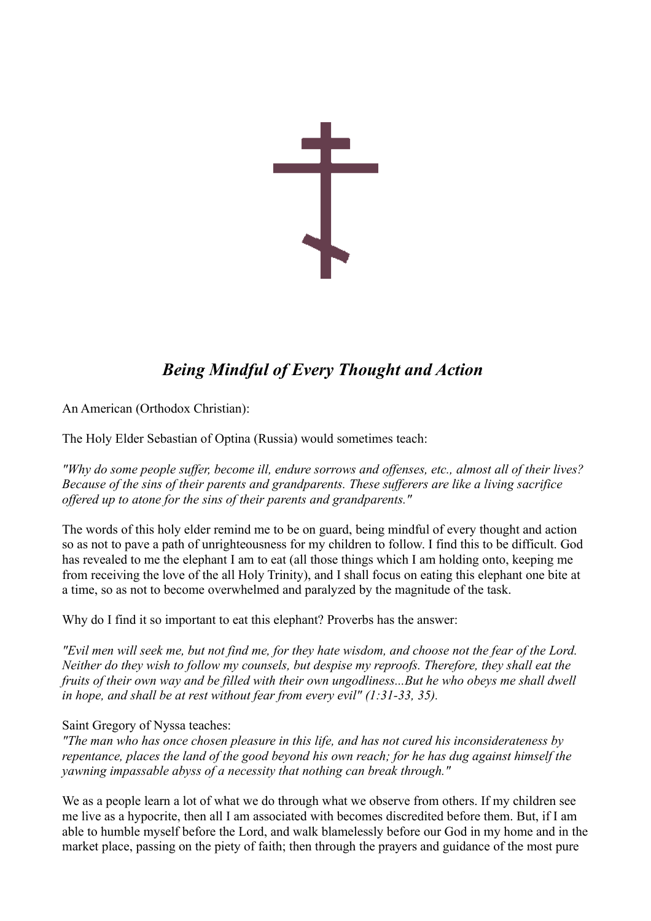

## *Being Mindful of Every Thought and Action*

An American (Orthodox Christian):

The Holy Elder Sebastian of Optina (Russia) would sometimes teach:

*"Why do some people suffer, become ill, endure sorrows and offenses, etc., almost all of their lives? Because of the sins of their parents and grandparents. These sufferers are like a living sacrifice offered up to atone for the sins of their parents and grandparents."*

The words of this holy elder remind me to be on guard, being mindful of every thought and action so as not to pave a path of unrighteousness for my children to follow. I find this to be difficult. God has revealed to me the elephant I am to eat (all those things which I am holding onto, keeping me from receiving the love of the all Holy Trinity), and I shall focus on eating this elephant one bite at a time, so as not to become overwhelmed and paralyzed by the magnitude of the task.

Why do I find it so important to eat this elephant? Proverbs has the answer:

*"Evil men will seek me, but not find me, for they hate wisdom, and choose not the fear of the Lord. Neither do they wish to follow my counsels, but despise my reproofs. Therefore, they shall eat the fruits of their own way and be filled with their own ungodliness...But he who obeys me shall dwell in hope, and shall be at rest without fear from every evil" (1:31-33, 35).*

## Saint Gregory of Nyssa teaches:

*"The man who has once chosen pleasure in this life, and has not cured his inconsiderateness by repentance, places the land of the good beyond his own reach; for he has dug against himself the yawning impassable abyss of a necessity that nothing can break through."* 

We as a people learn a lot of what we do through what we observe from others. If my children see me live as a hypocrite, then all I am associated with becomes discredited before them. But, if I am able to humble myself before the Lord, and walk blamelessly before our God in my home and in the market place, passing on the piety of faith; then through the prayers and guidance of the most pure